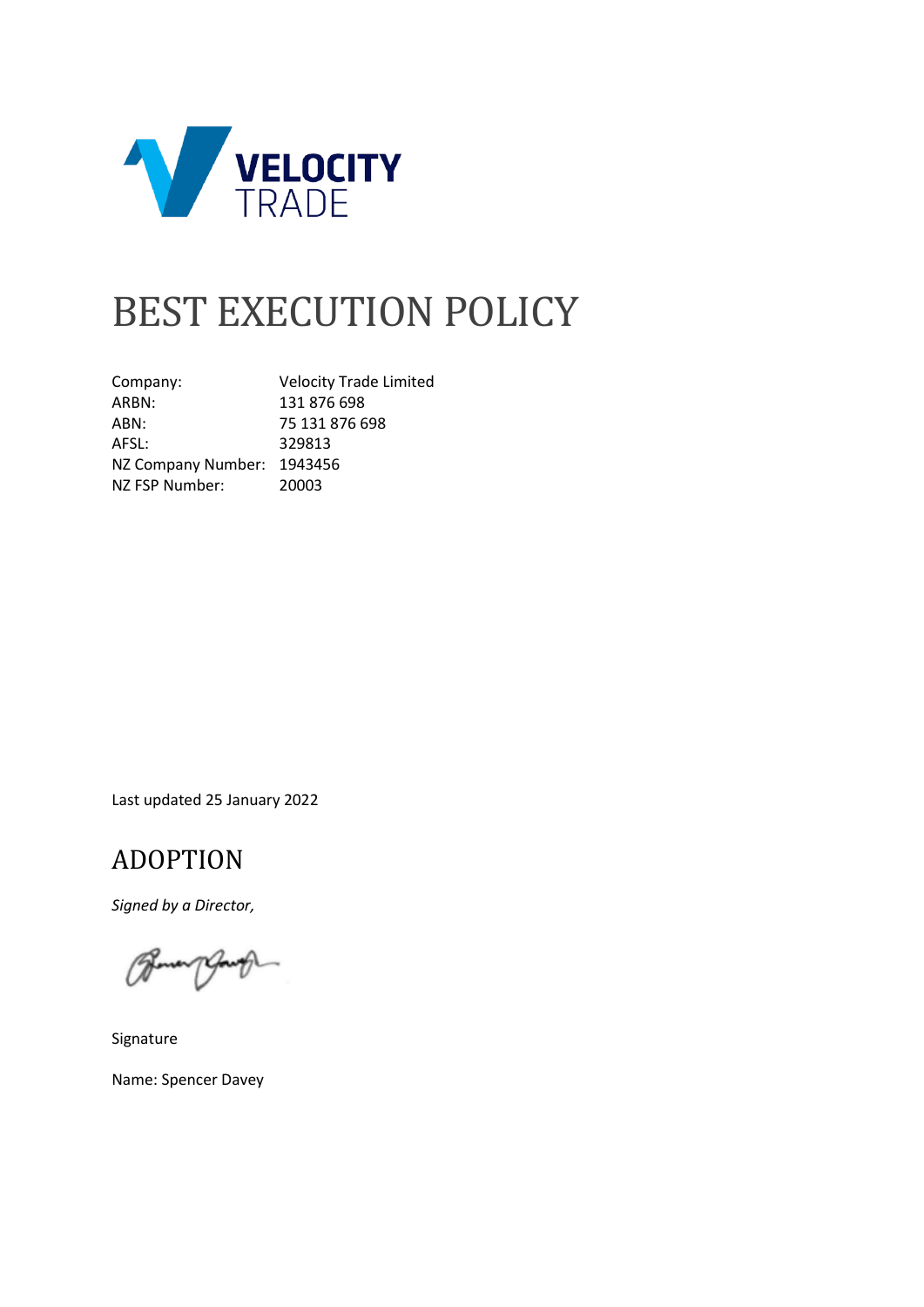

# BEST EXECUTION POLICY

Company: Velocity Trade Limited ARBN: 131 876 698 ABN: 75 131 876 698<br>AFSL: 329813 329813 NZ Company Number: 1943456 NZ FSP Number: 20003

Last updated 25 January 2022

### <span id="page-0-0"></span>ADOPTION

*Signed by a Director,*

Signature Name: Spencer Davey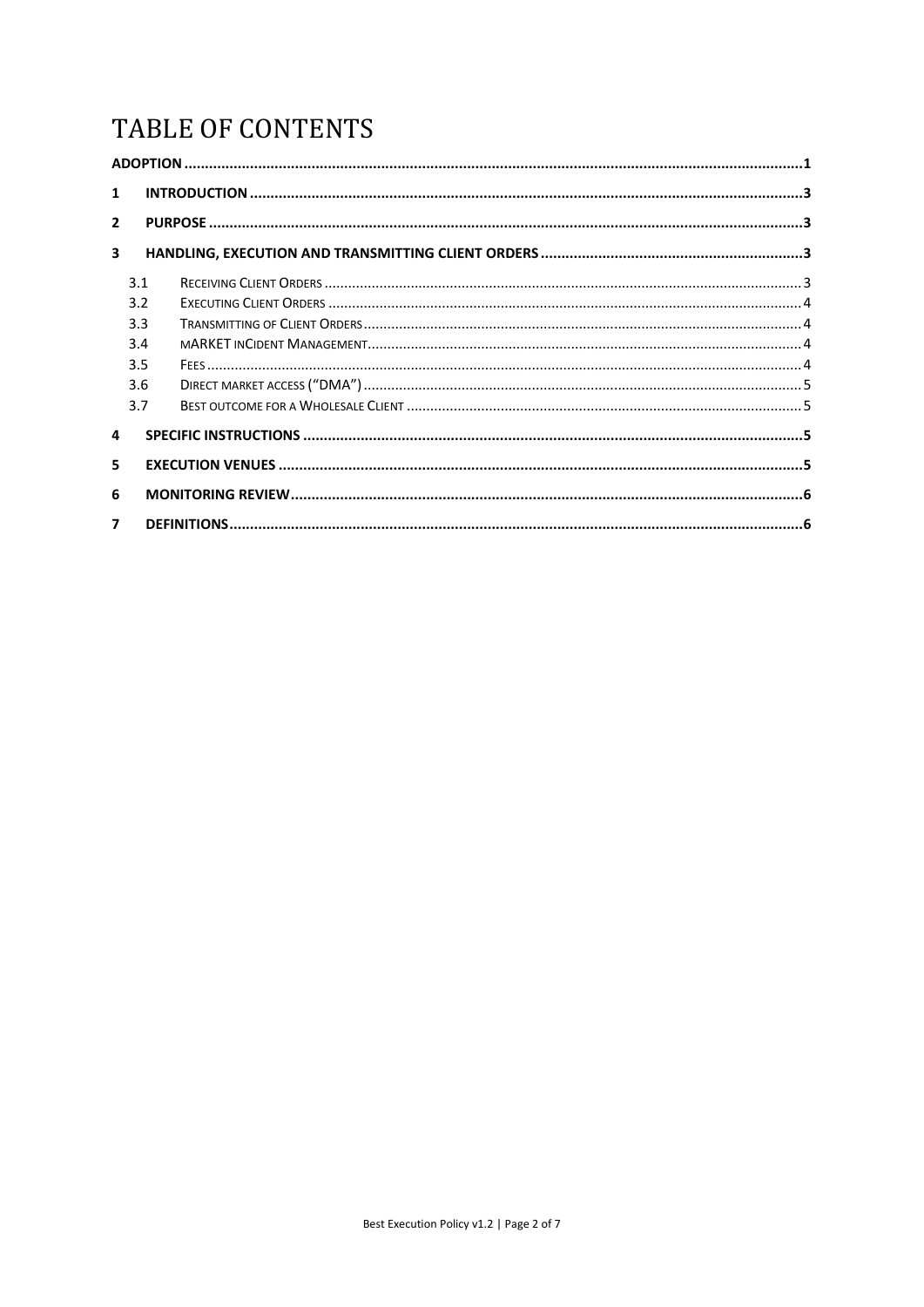# TABLE OF CONTENTS

| $\mathbf{1}$            |     |  |  |
|-------------------------|-----|--|--|
| $\overline{2}$          |     |  |  |
| $\overline{\mathbf{3}}$ |     |  |  |
|                         | 3.1 |  |  |
|                         | 3.2 |  |  |
|                         | 3.3 |  |  |
|                         | 3.4 |  |  |
|                         | 3.5 |  |  |
|                         | 3.6 |  |  |
|                         | 3.7 |  |  |
| 4                       |     |  |  |
| 5                       |     |  |  |
| 6                       |     |  |  |
| $\overline{\mathbf{z}}$ |     |  |  |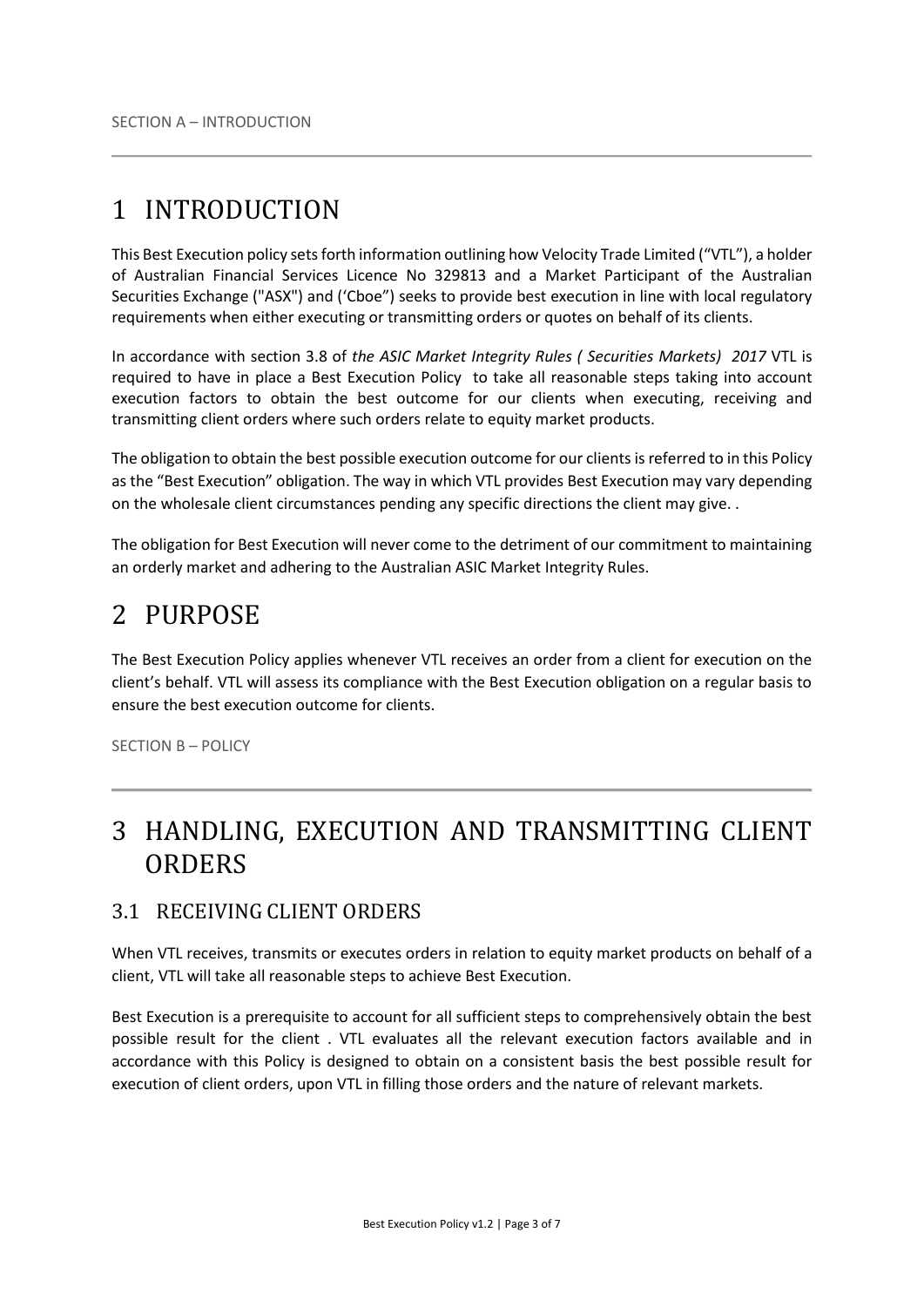# <span id="page-2-0"></span>1 INTRODUCTION

This Best Execution policy sets forth information outlining how Velocity Trade Limited ("VTL"), a holder of Australian Financial Services Licence No 329813 and a Market Participant of the Australian Securities Exchange ("ASX") and ('Cboe") seeks to provide best execution in line with local regulatory requirements when either executing or transmitting orders or quotes on behalf of its clients.

In accordance with section 3.8 of *the ASIC Market Integrity Rules ( Securities Markets) 2017* VTL is required to have in place a Best Execution Policy to take all reasonable steps taking into account execution factors to obtain the best outcome for our clients when executing, receiving and transmitting client orders where such orders relate to equity market products.

The obligation to obtain the best possible execution outcome for our clients is referred to in this Policy as the "Best Execution" obligation. The way in which VTL provides Best Execution may vary depending on the wholesale client circumstances pending any specific directions the client may give. .

The obligation for Best Execution will never come to the detriment of our commitment to maintaining an orderly market and adhering to the Australian ASIC Market Integrity Rules.

## <span id="page-2-1"></span>2 PURPOSE

The Best Execution Policy applies whenever VTL receives an order from a client for execution on the client's behalf. VTL will assess its compliance with the Best Execution obligation on a regular basis to ensure the best execution outcome for clients.

SECTION B – POLICY

## <span id="page-2-2"></span>3 HANDLING, EXECUTION AND TRANSMITTING CLIENT **ORDERS**

#### <span id="page-2-3"></span>3.1 RECEIVING CLIENT ORDERS

When VTL receives, transmits or executes orders in relation to equity market products on behalf of a client, VTL will take all reasonable steps to achieve Best Execution.

Best Execution is a prerequisite to account for all sufficient steps to comprehensively obtain the best possible result for the client . VTL evaluates all the relevant execution factors available and in accordance with this Policy is designed to obtain on a consistent basis the best possible result for execution of client orders, upon VTL in filling those orders and the nature of relevant markets.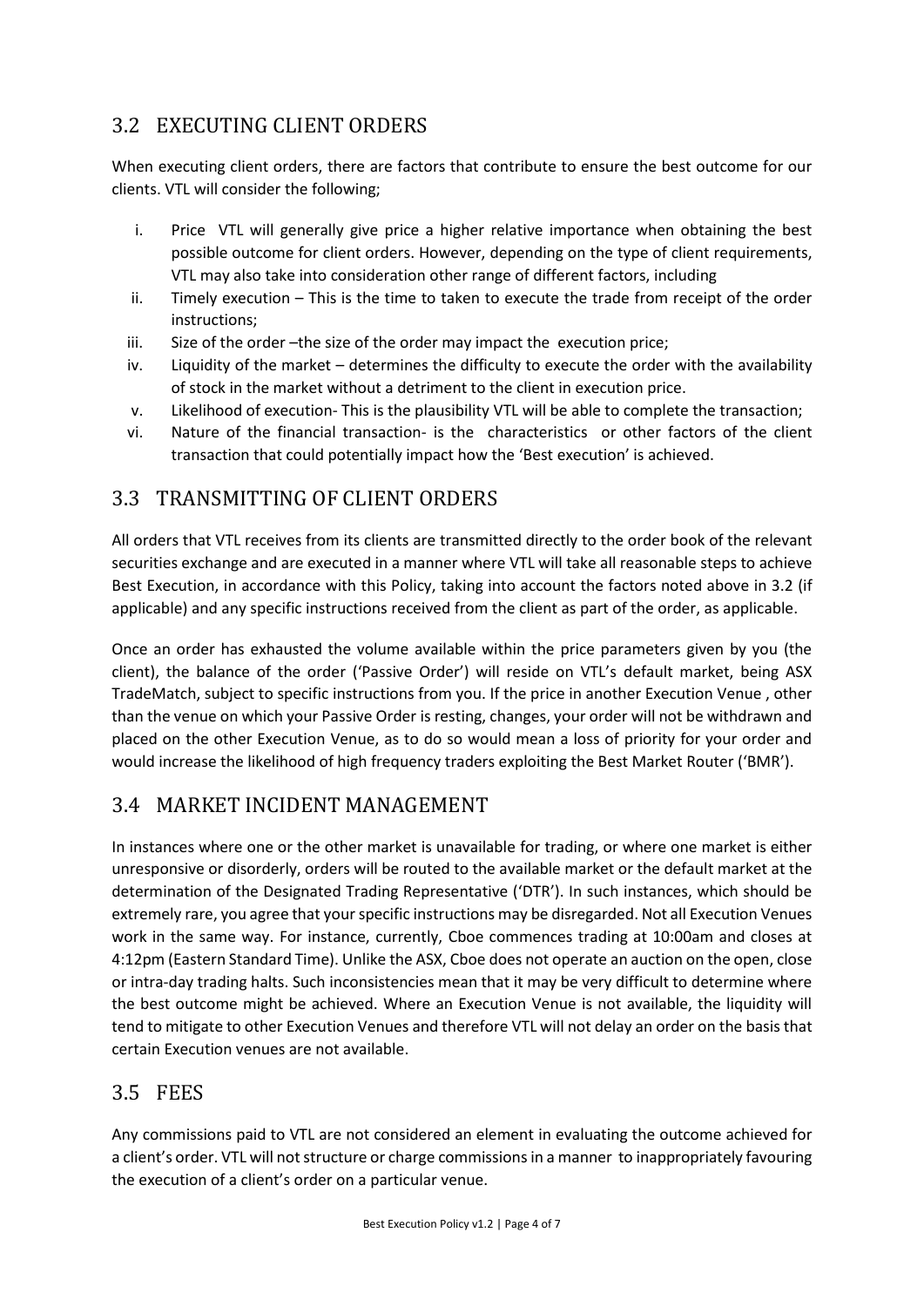#### <span id="page-3-0"></span>3.2 EXECUTING CLIENT ORDERS

When executing client orders, there are factors that contribute to ensure the best outcome for our clients. VTL will consider the following;

- i. Price VTL will generally give price a higher relative importance when obtaining the best possible outcome for client orders. However, depending on the type of client requirements, VTL may also take into consideration other range of different factors, including
- ii. Timely execution This is the time to taken to execute the trade from receipt of the order instructions;
- iii. Size of the order –the size of the order may impact the execution price;
- iv. Liquidity of the market determines the difficulty to execute the order with the availability of stock in the market without a detriment to the client in execution price.
- v. Likelihood of execution- This is the plausibility VTL will be able to complete the transaction;
- vi. Nature of the financial transaction- is the characteristics or other factors of the client transaction that could potentially impact how the 'Best execution' is achieved.

#### <span id="page-3-1"></span>3.3 TRANSMITTING OF CLIENT ORDERS

All orders that VTL receives from its clients are transmitted directly to the order book of the relevant securities exchange and are executed in a manner where VTL will take all reasonable steps to achieve Best Execution, in accordance with this Policy, taking into account the factors noted above in 3.2 (if applicable) and any specific instructions received from the client as part of the order, as applicable.

Once an order has exhausted the volume available within the price parameters given by you (the client), the balance of the order ('Passive Order') will reside on VTL's default market, being ASX TradeMatch, subject to specific instructions from you. If the price in another Execution Venue , other than the venue on which your Passive Order is resting, changes, your order will not be withdrawn and placed on the other Execution Venue, as to do so would mean a loss of priority for your order and would increase the likelihood of high frequency traders exploiting the Best Market Router ('BMR').

#### <span id="page-3-2"></span>3.4 MARKET INCIDENT MANAGEMENT

In instances where one or the other market is unavailable for trading, or where one market is either unresponsive or disorderly, orders will be routed to the available market or the default market at the determination of the Designated Trading Representative ('DTR'). In such instances, which should be extremely rare, you agree that your specific instructions may be disregarded. Not all Execution Venues work in the same way. For instance, currently, Cboe commences trading at 10:00am and closes at 4:12pm (Eastern Standard Time). Unlike the ASX, Cboe does not operate an auction on the open, close or intra-day trading halts. Such inconsistencies mean that it may be very difficult to determine where the best outcome might be achieved. Where an Execution Venue is not available, the liquidity will tend to mitigate to other Execution Venues and therefore VTL will not delay an order on the basis that certain Execution venues are not available.

#### <span id="page-3-3"></span>3.5 FEES

Any commissions paid to VTL are not considered an element in evaluating the outcome achieved for a client's order. VTL will not structure or charge commissions in a manner to inappropriately favouring the execution of a client's order on a particular venue.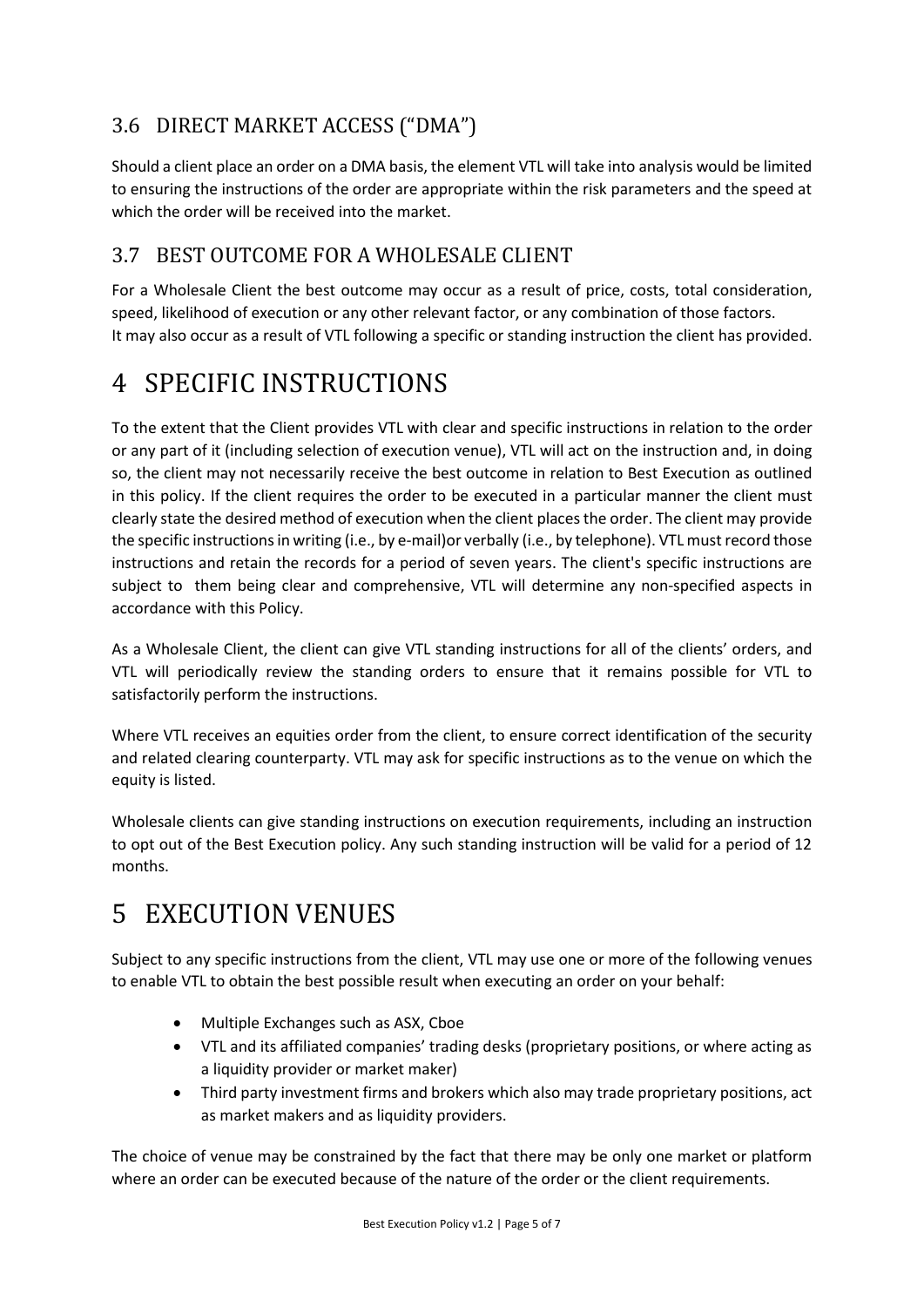### <span id="page-4-0"></span>3.6 DIRECT MARKET ACCESS ("DMA")

Should a client place an order on a DMA basis, the element VTL will take into analysis would be limited to ensuring the instructions of the order are appropriate within the risk parameters and the speed at which the order will be received into the market.

#### <span id="page-4-1"></span>3.7 BEST OUTCOME FOR A WHOLESALE CLIENT

For a Wholesale Client the best outcome may occur as a result of price, costs, total consideration, speed, likelihood of execution or any other relevant factor, or any combination of those factors. It may also occur as a result of VTL following a specific or standing instruction the client has provided.

# <span id="page-4-2"></span>4 SPECIFIC INSTRUCTIONS

To the extent that the Client provides VTL with clear and specific instructions in relation to the order or any part of it (including selection of execution venue), VTL will act on the instruction and, in doing so, the client may not necessarily receive the best outcome in relation to Best Execution as outlined in this policy. If the client requires the order to be executed in a particular manner the client must clearly state the desired method of execution when the client placesthe order. The client may provide the specific instructions in writing (i.e., by e-mail)or verbally (i.e., by telephone). VTL must record those instructions and retain the records for a period of seven years. The client's specific instructions are subject to them being clear and comprehensive, VTL will determine any non-specified aspects in accordance with this Policy.

As a Wholesale Client, the client can give VTL standing instructions for all of the clients' orders, and VTL will periodically review the standing orders to ensure that it remains possible for VTL to satisfactorily perform the instructions.

Where VTL receives an equities order from the client, to ensure correct identification of the security and related clearing counterparty. VTL may ask for specific instructions as to the venue on which the equity is listed.

Wholesale clients can give standing instructions on execution requirements, including an instruction to opt out of the Best Execution policy. Any such standing instruction will be valid for a period of 12 months.

# <span id="page-4-3"></span>5 EXECUTION VENUES

Subject to any specific instructions from the client, VTL may use one or more of the following venues to enable VTL to obtain the best possible result when executing an order on your behalf:

- Multiple Exchanges such as ASX, Cboe
- VTL and its affiliated companies' trading desks (proprietary positions, or where acting as a liquidity provider or market maker)
- Third party investment firms and brokers which also may trade proprietary positions, act as market makers and as liquidity providers.

The choice of venue may be constrained by the fact that there may be only one market or platform where an order can be executed because of the nature of the order or the client requirements.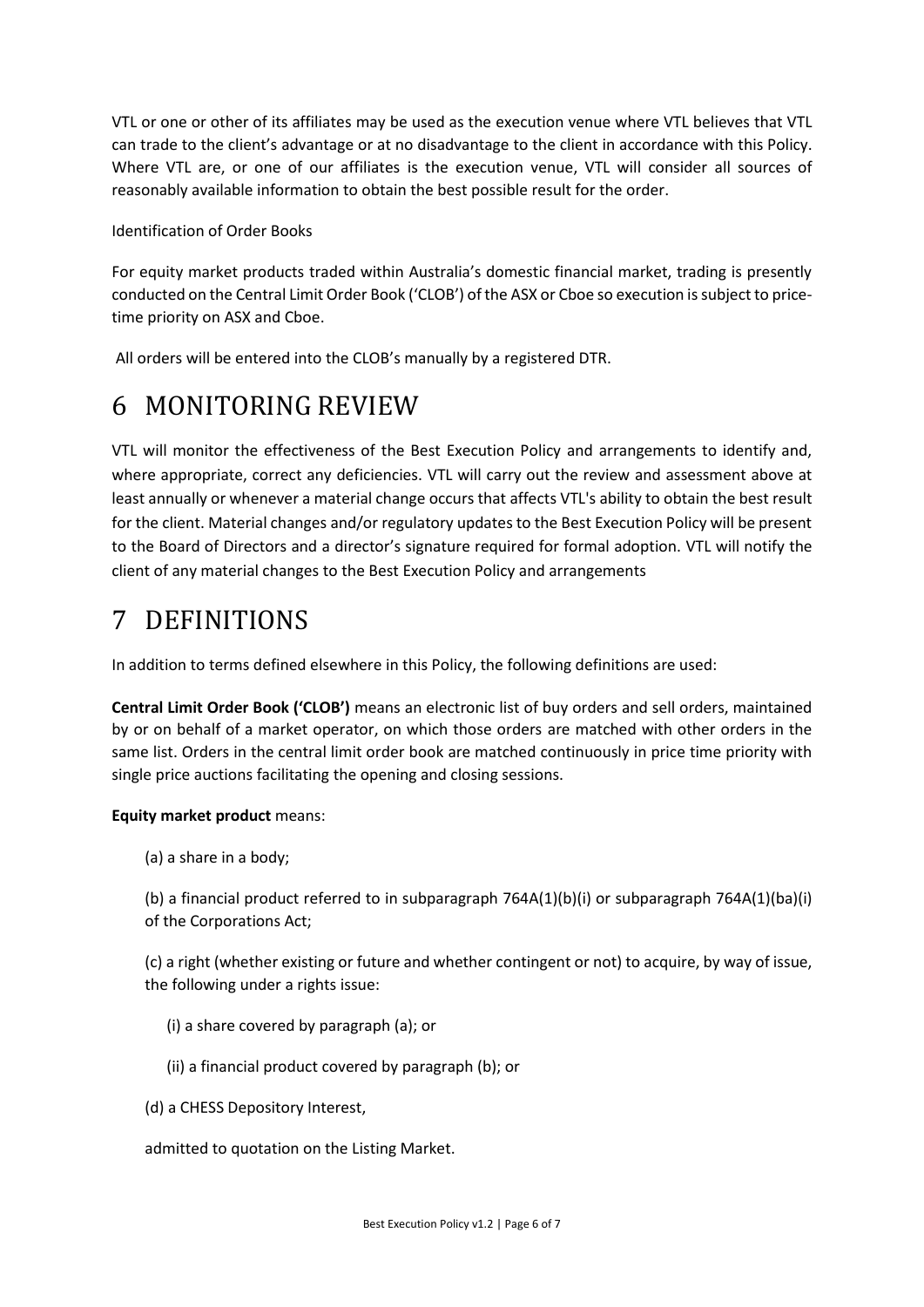VTL or one or other of its affiliates may be used as the execution venue where VTL believes that VTL can trade to the client's advantage or at no disadvantage to the client in accordance with this Policy. Where VTL are, or one of our affiliates is the execution venue, VTL will consider all sources of reasonably available information to obtain the best possible result for the order.

Identification of Order Books

For equity market products traded within Australia's domestic financial market, trading is presently conducted on the Central Limit Order Book ('CLOB') of the ASX or Cboe so execution is subject to pricetime priority on ASX and Cboe.

All orders will be entered into the CLOB's manually by a registered DTR.

# <span id="page-5-0"></span>6 MONITORING REVIEW

VTL will monitor the effectiveness of the Best Execution Policy and arrangements to identify and, where appropriate, correct any deficiencies. VTL will carry out the review and assessment above at least annually or whenever a material change occurs that affects VTL's ability to obtain the best result for the client. Material changes and/or regulatory updates to the Best Execution Policy will be present to the Board of Directors and a director's signature required for formal adoption. VTL will notify the client of any material changes to the Best Execution Policy and arrangements

# <span id="page-5-1"></span>7 DEFINITIONS

In addition to terms defined elsewhere in this Policy, the following definitions are used:

**Central Limit Order Book ('CLOB')** means an electronic list of buy orders and sell orders, maintained by or on behalf of a market operator, on which those orders are matched with other orders in the same list. Orders in the central limit order book are matched continuously in price time priority with single price auctions facilitating the opening and closing sessions.

#### **Equity market product** means:

(a) a share in a body;

(b) a financial product referred to in subparagraph 764A(1)(b)(i) or subparagraph 764A(1)(ba)(i) of the Corporations Act;

(c) a right (whether existing or future and whether contingent or not) to acquire, by way of issue, the following under a rights issue:

- (i) a share covered by paragraph (a); or
- (ii) a financial product covered by paragraph (b); or
- (d) a CHESS Depository Interest,

admitted to quotation on the Listing Market.